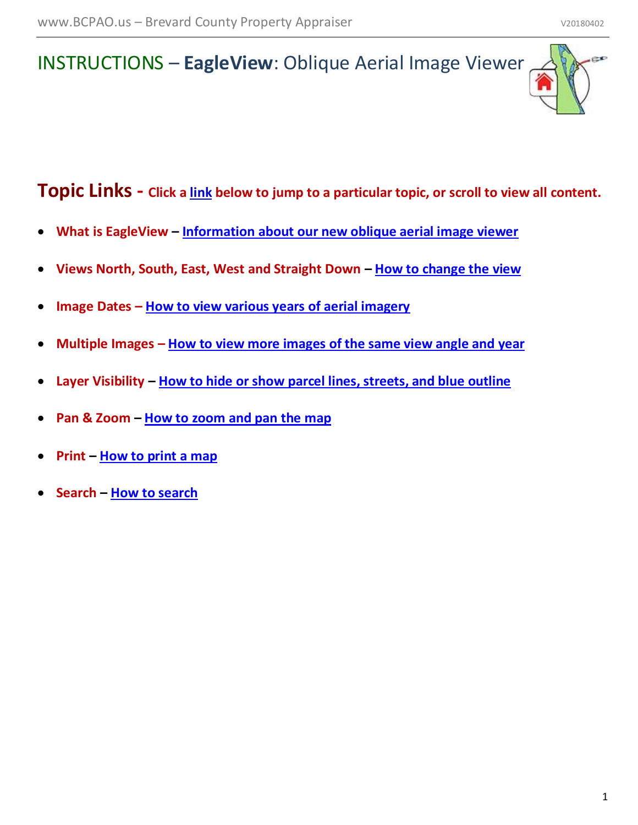## INSTRUCTIONS – **EagleView**: Oblique Aerial Image Viewer

**Topic Links - Click a link below to jump to a particular topic, or scroll to view all content.**

- **What is EagleView – [Information about our new oblique aerial image viewer](#page-1-0)**
- **Views North, South, East, West and Straight Down – [How to change the view](#page-1-1)**
- **Image Dates – [How to view various years of aerial imagery](#page-2-0)**
- **Multiple Images – [How to view more images of the same view angle and year](#page-2-1)**
- **Layer Visibility – [How to hide or show parcel lines, streets, and blue outline](#page-3-0)**
- **Pan & Zoom – [How to zoom and pan the map](#page-3-1)**
- **Print – [How to print a map](#page-4-0)**
- **Search – [How to search](#page-4-1)**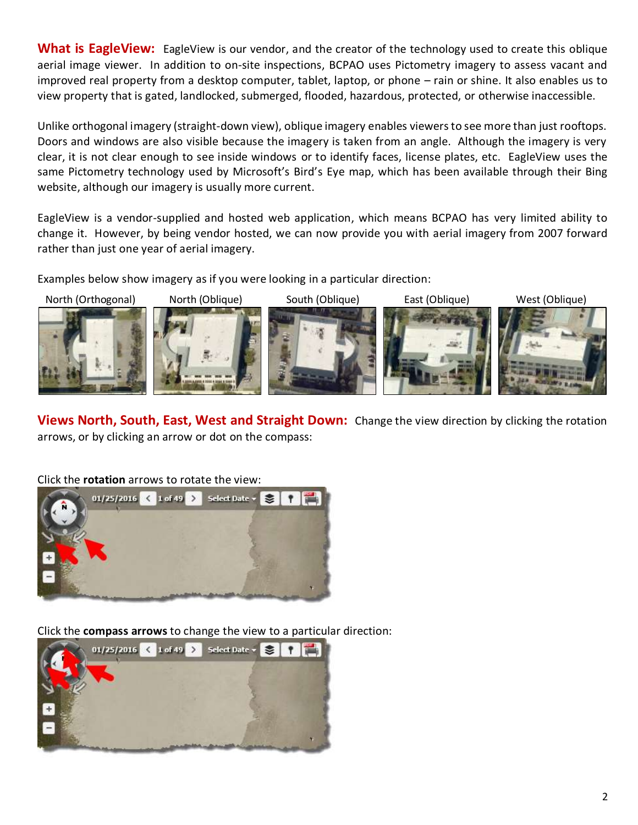<span id="page-1-0"></span>**What is EagleView:** EagleView is our vendor, and the creator of the technology used to create this oblique aerial image viewer. In addition to on-site inspections, BCPAO uses Pictometry imagery to assess vacant and improved real property from a desktop computer, tablet, laptop, or phone – rain or shine. It also enables us to view property that is gated, landlocked, submerged, flooded, hazardous, protected, or otherwise inaccessible.

Unlike orthogonal imagery (straight-down view), oblique imagery enables viewers to see more than just rooftops. Doors and windows are also visible because the imagery is taken from an angle. Although the imagery is very clear, it is not clear enough to see inside windows or to identify faces, license plates, etc. EagleView uses the same Pictometry technology used by Microsoft's Bird's Eye map, which has been available through their Bing website, although our imagery is usually more current.

EagleView is a vendor-supplied and hosted web application, which means BCPAO has very limited ability to change it. However, by being vendor hosted, we can now provide you with aerial imagery from 2007 forward rather than just one year of aerial imagery.

Examples below show imagery as if you were looking in a particular direction:



<span id="page-1-1"></span>**Views North, South, East, West and Straight Down:** Change the view direction by clicking the rotation arrows, or by clicking an arrow or dot on the compass:

Click the **rotation** arrows to rotate the view: 01/25/2016 < 1 of 49 > Select Date  $\star$   $\leq$  $\frac{1}{2}$ 

Click the **compass arrows** to change the view to a particular direction:

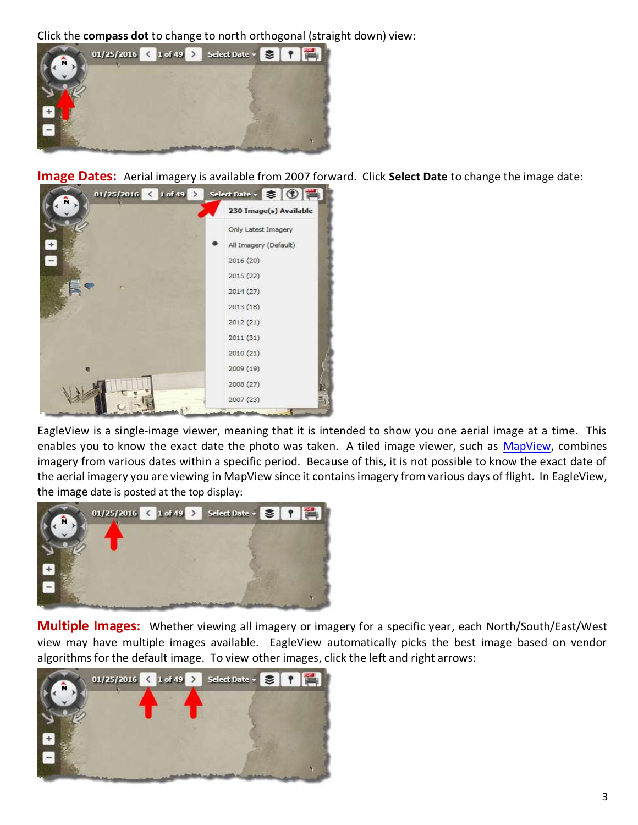Click the **compass dot** to change to north orthogonal (straight down) view:



<span id="page-2-0"></span>**Image Dates:** Aerial imagery is available from 2007 forward. Click **Select Date** to change the image date:



EagleView is a single-image viewer, meaning that it is intended to show you one aerial image at a time. This enables you to know the exact date the photo was taken. A tiled image viewer, such as [MapView,](https://www.bcpao.us/map/) combines imagery from various dates within a specific period. Because of this, it is not possible to know the exact date of the aerial imagery you are viewing in MapView since it contains imagery from various days of flight. In EagleView, the image date is posted at the top display:



<span id="page-2-1"></span>**Multiple Images:** Whether viewing all imagery or imagery for a specific year, each North/South/East/West view may have multiple images available. EagleView automatically picks the best image based on vendor algorithms for the default image. To view other images, click the left and right arrows:

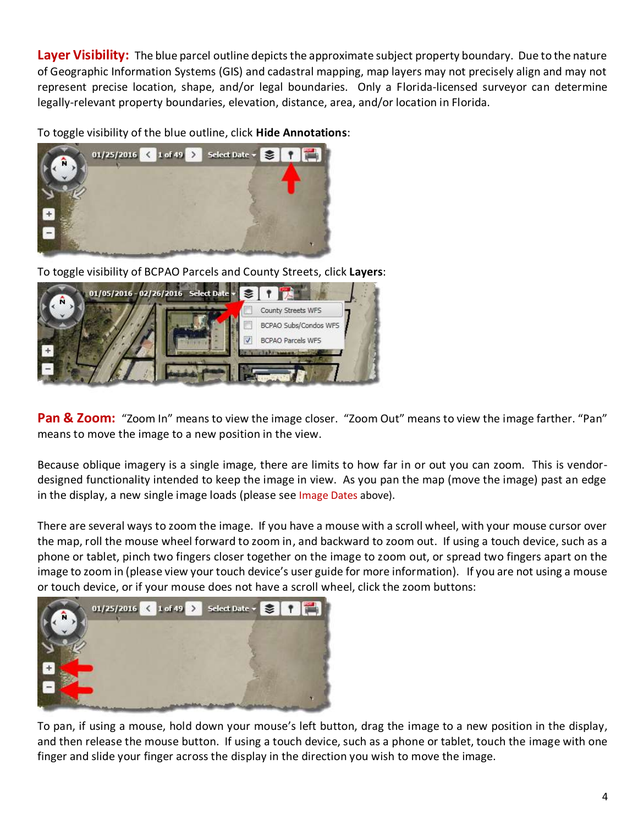<span id="page-3-0"></span>**Layer Visibility:** The blue parcel outline depicts the approximate subject property boundary. Due to the nature of Geographic Information Systems (GIS) and cadastral mapping, map layers may not precisely align and may not represent precise location, shape, and/or legal boundaries. Only a Florida-licensed surveyor can determine legally-relevant property boundaries, elevation, distance, area, and/or location in Florida.

To toggle visibility of the blue outline, click **Hide Annotations**:



To toggle visibility of BCPAO Parcels and County Streets, click **Layers**:



<span id="page-3-1"></span>**Pan & Zoom:** "Zoom In" means to view the image closer. "Zoom Out" means to view the image farther. "Pan" means to move the image to a new position in the view.

Because oblique imagery is a single image, there are limits to how far in or out you can zoom. This is vendordesigned functionality intended to keep the image in view. As you pan the map (move the image) past an edge in the display, a new single image loads (please see [Image Dates](#page-2-0) above).

There are several ways to zoom the image. If you have a mouse with a scroll wheel, with your mouse cursor over the map, roll the mouse wheel forward to zoom in, and backward to zoom out. If using a touch device, such as a phone or tablet, pinch two fingers closer together on the image to zoom out, or spread two fingers apart on the image to zoom in (please view your touch device's user guide for more information). If you are not using a mouse or touch device, or if your mouse does not have a scroll wheel, click the zoom buttons:



To pan, if using a mouse, hold down your mouse's left button, drag the image to a new position in the display, and then release the mouse button. If using a touch device, such as a phone or tablet, touch the image with one finger and slide your finger across the display in the direction you wish to move the image.